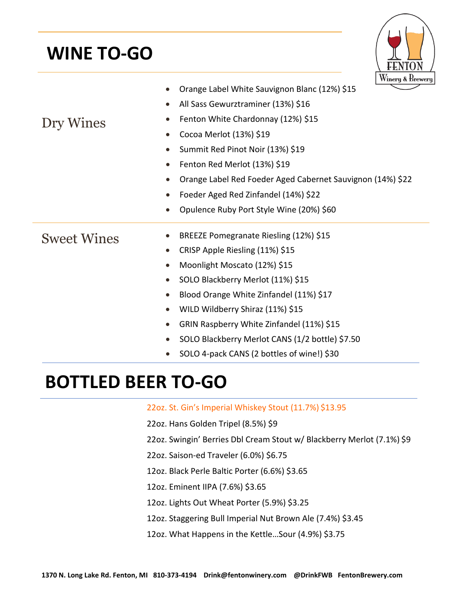## **WINE TO-GO**



|                    | Orange Label White Sauvignon Blanc (12%) \$15              |  |  |  |
|--------------------|------------------------------------------------------------|--|--|--|
|                    | All Sass Gewurztraminer (13%) \$16                         |  |  |  |
| Dry Wines          | Fenton White Chardonnay (12%) \$15                         |  |  |  |
|                    | Cocoa Merlot (13%) \$19<br>$\bullet$                       |  |  |  |
|                    | Summit Red Pinot Noir (13%) \$19                           |  |  |  |
|                    | Fenton Red Merlot (13%) \$19                               |  |  |  |
|                    | Orange Label Red Foeder Aged Cabernet Sauvignon (14%) \$22 |  |  |  |
|                    | Foeder Aged Red Zinfandel (14%) \$22<br>$\bullet$          |  |  |  |
|                    | Opulence Ruby Port Style Wine (20%) \$60<br>$\bullet$      |  |  |  |
| <b>Sweet Wines</b> | BREEZE Pomegranate Riesling (12%) \$15                     |  |  |  |
|                    | CRISP Apple Riesling (11%) \$15                            |  |  |  |
|                    | Moonlight Moscato (12%) \$15<br>$\bullet$                  |  |  |  |
|                    | SOLO Blackberry Merlot (11%) \$15                          |  |  |  |
|                    | Blood Orange White Zinfandel (11%) \$17                    |  |  |  |
|                    | WILD Wildberry Shiraz (11%) \$15<br>$\bullet$              |  |  |  |
|                    | GRIN Raspberry White Zinfandel (11%) \$15<br>$\bullet$     |  |  |  |
|                    | SOLO Blackberry Merlot CANS (1/2 bottle) \$7.50            |  |  |  |
|                    | SOLO 4-pack CANS (2 bottles of wine!) \$30                 |  |  |  |

## **BOTTLED BEER TO-GO**

22oz. St. Gin's Imperial Whiskey Stout (11.7%) \$13.95

- 22oz. Hans Golden Tripel (8.5%) \$9
- 22oz. Swingin' Berries Dbl Cream Stout w/ Blackberry Merlot (7.1%) \$9
- 22oz. Saison-ed Traveler (6.0%) \$6.75
- 12oz. Black Perle Baltic Porter (6.6%) \$3.65
- 12oz. Eminent IIPA (7.6%) \$3.65
- 12oz. Lights Out Wheat Porter (5.9%) \$3.25
- 12oz. Staggering Bull Imperial Nut Brown Ale (7.4%) \$3.45
- 12oz. What Happens in the Kettle…Sour (4.9%) \$3.75